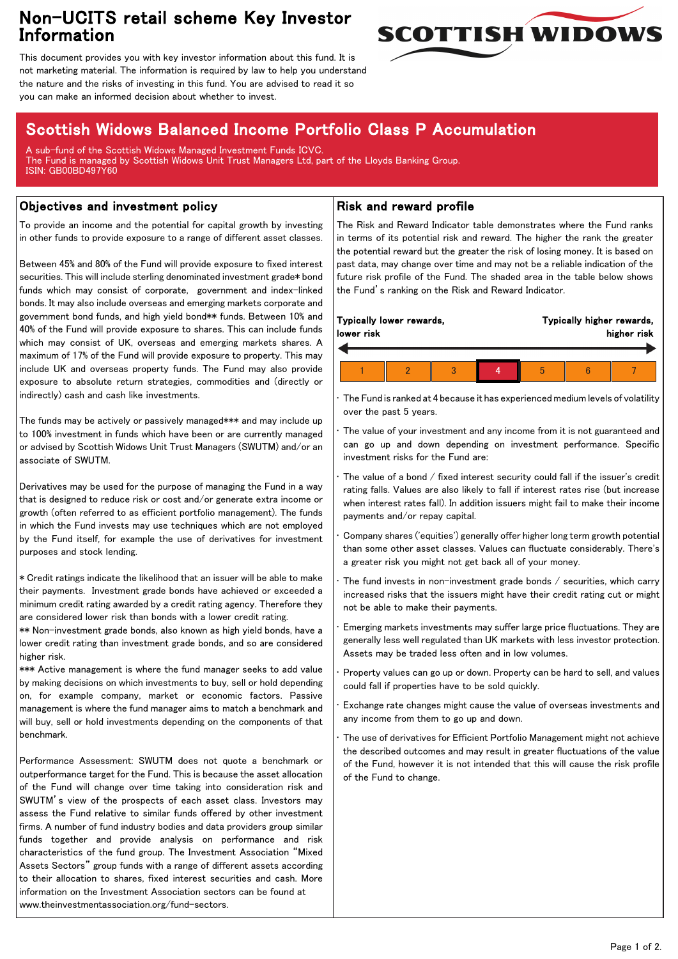## Non-UCITS retail scheme Key Investor Information



This document provides you with key investor information about this fund. It is not marketing material. The information is required by law to help you understand the nature and the risks of investing in this fund. You are advised to read it so you can make an informed decision about whether to invest.

# Scottish Widows Balanced Income Portfolio Class P Accumulation

A sub-fund of the Scottish Widows Managed Investment Funds ICVC. The Fund is managed by Scottish Widows Unit Trust Managers Ltd, part of the Lloyds Banking Group. ISIN: GB00BD497Y60

### Objectives and investment policy

To provide an income and the potential for capital growth by investing in other funds to provide exposure to a range of different asset classes.

Between 45% and 80% of the Fund will provide exposure to fixed interest securities. This will include sterling denominated investment grade\* bond funds which may consist of corporate, government and index-linked bonds. It may also include overseas and emerging markets corporate and government bond funds, and high yield bond\*\* funds. Between 10% and 40% of the Fund will provide exposure to shares. This can include funds which may consist of UK, overseas and emerging markets shares. A maximum of 17% of the Fund will provide exposure to property. This may include UK and overseas property funds. The Fund may also provide exposure to absolute return strategies, commodities and (directly or indirectly) cash and cash like investments.

The funds may be actively or passively managed\*\*\* and may include up to 100% investment in funds which have been or are currently managed or advised by Scottish Widows Unit Trust Managers (SWUTM) and/or an associate of SWUTM.

Derivatives may be used for the purpose of managing the Fund in a way that is designed to reduce risk or cost and/or generate extra income or growth (often referred to as efficient portfolio management). The funds in which the Fund invests may use techniques which are not employed by the Fund itself, for example the use of derivatives for investment purposes and stock lending.

\* Credit ratings indicate the likelihood that an issuer will be able to make their payments. Investment grade bonds have achieved or exceeded a minimum credit rating awarded by a credit rating agency. Therefore they are considered lower risk than bonds with a lower credit rating.

\*\* Non-investment grade bonds, also known as high yield bonds, have a lower credit rating than investment grade bonds, and so are considered higher risk.

\*\*\* Active management is where the fund manager seeks to add value by making decisions on which investments to buy, sell or hold depending on, for example company, market or economic factors. Passive management is where the fund manager aims to match a benchmark and will buy, sell or hold investments depending on the components of that benchmark.

Performance Assessment: SWUTM does not quote a benchmark or outperformance target for the Fund. This is because the asset allocation of the Fund will change over time taking into consideration risk and SWUTM's view of the prospects of each asset class. Investors may assess the Fund relative to similar funds offered by other investment firms. A number of fund industry bodies and data providers group similar funds together and provide analysis on performance and risk characteristics of the fund group. The Investment Association "Mixed Assets Sectors" group funds with a range of different assets according to their allocation to shares, fixed interest securities and cash. More information on the Investment Association sectors can be found at www.theinvestmentassociation.org/fund-sectors.

### Risk and reward profile

The Risk and Reward Indicator table demonstrates where the Fund ranks in terms of its potential risk and reward. The higher the rank the greater the potential reward but the greater the risk of losing money. It is based on past data, may change over time and may not be a reliable indication of the future risk profile of the Fund. The shaded area in the table below shows the Fund's ranking on the Risk and Reward Indicator.

| Typically lower rewards,<br>lower risk |  |  |  |  | Typically higher rewards,<br>higher risk |  |  |
|----------------------------------------|--|--|--|--|------------------------------------------|--|--|
|                                        |  |  |  |  |                                          |  |  |
|                                        |  |  |  |  | h                                        |  |  |

• The Fund is ranked at 4 because it has experienced medium levels of volatility over the past 5 years.

The value of your investment and any income from it is not guaranteed and can go up and down depending on investment performance. Specific investment risks for the Fund are:

• The value of a bond / fixed interest security could fall if the issuer's credit rating falls. Values are also likely to fall if interest rates rise (but increase when interest rates fall). In addition issuers might fail to make their income payments and/or repay capital.

• Company shares ('equities') generally offer higher long term growth potential than some other asset classes. Values can fluctuate considerably. There's a greater risk you might not get back all of your money.

The fund invests in non-investment grade bonds  $/$  securities, which carry increased risks that the issuers might have their credit rating cut or might not be able to make their payments.

• Emerging markets investments may suffer large price fluctuations. They are generally less well regulated than UK markets with less investor protection. Assets may be traded less often and in low volumes.

• Property values can go up or down. Property can be hard to sell, and values could fall if properties have to be sold quickly.

• Exchange rate changes might cause the value of overseas investments and any income from them to go up and down.

The use of derivatives for Efficient Portfolio Management might not achieve the described outcomes and may result in greater fluctuations of the value of the Fund, however it is not intended that this will cause the risk profile of the Fund to change.